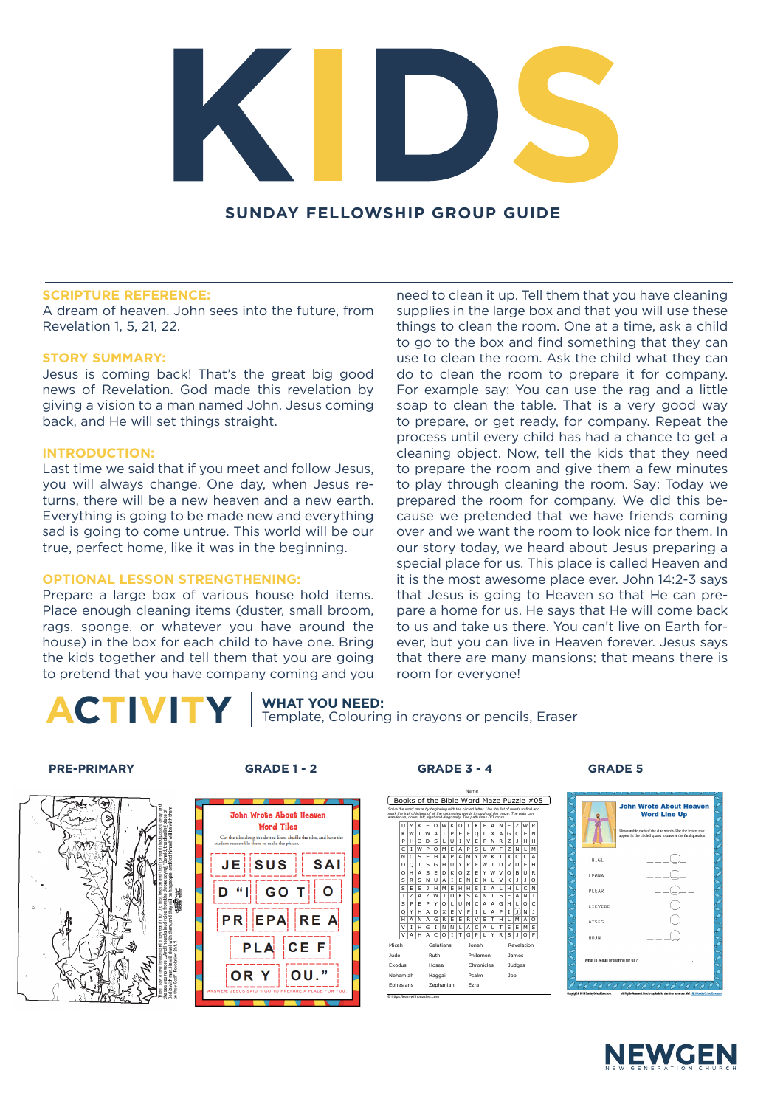

## **SUNDAY FELLOWSHIP GROUP GUIDE**

## **SCRIPTURE REFERENCE:**

A dream of heaven. John sees into the future, from Revelation 1, 5, 21, 22.

## **STORY SUMMARY:**

Jesus is coming back! That's the great big good news of Revelation. God made this revelation by giving a vision to a man named John. Jesus coming back, and He will set things straight.

## **INTRODUCTION:**

Last time we said that if you meet and follow Jesus, you will always change. One day, when Jesus returns, there will be a new heaven and a new earth. Everything is going to be made new and everything sad is going to come untrue. This world will be our true, perfect home, like it was in the beginning.

## **OPTIONAL LESSON STRENGTHENING:**

Prepare a large box of various house hold items. Place enough cleaning items (duster, small broom, rags, sponge, or whatever you have around the house) in the box for each child to have one. Bring the kids together and tell them that you are going to pretend that you have company coming and you

need to clean it up. Tell them that you have cleaning supplies in the large box and that you will use these things to clean the room. One at a time, ask a child to go to the box and find something that they can use to clean the room. Ask the child what they can do to clean the room to prepare it for company. For example say: You can use the rag and a little soap to clean the table. That is a very good way to prepare, or get ready, for company. Repeat the process until every child has had a chance to get a cleaning object. Now, tell the kids that they need to prepare the room and give them a few minutes to play through cleaning the room. Say: Today we prepared the room for company. We did this because we pretended that we have friends coming over and we want the room to look nice for them. In our story today, we heard about Jesus preparing a special place for us. This place is called Heaven and it is the most awesome place ever. John 14:2-3 says that Jesus is going to Heaven so that He can prepare a home for us. He says that He will come back to us and take us there. You can't live on Earth forever, but you can live in Heaven forever. Jesus says that there are many mansions; that means there is room for everyone!

**CTIVITY** | WHAT YOU NEED:<br>
Template, Colouring in crayons or pencils, Eraser

### **PRE-PRIMARY GRADE 1 - 2 GRADE 3 - 4 GRADE 5**







| Name                                                                                                                                                                                                                                                           |          |                |          |        |              |          |   |          |                |            |   |            |        |                               |        |              |          |  |  |  |  |  |  |  |  |
|----------------------------------------------------------------------------------------------------------------------------------------------------------------------------------------------------------------------------------------------------------------|----------|----------------|----------|--------|--------------|----------|---|----------|----------------|------------|---|------------|--------|-------------------------------|--------|--------------|----------|--|--|--|--|--|--|--|--|
| Books of the Bible Word Maze Puzzle #05                                                                                                                                                                                                                        |          |                |          |        |              |          |   |          |                |            |   |            |        |                               |        |              |          |  |  |  |  |  |  |  |  |
| Solve the word maze by beginning with the circled letter. Use the list of words to find and<br>mark the trail of letters of all the connected words throughout the maze. The path can<br>wander up, down, left, right and diagonally. The path lines DO cross. |          |                |          |        |              |          |   |          |                |            |   |            |        |                               |        |              |          |  |  |  |  |  |  |  |  |
|                                                                                                                                                                                                                                                                | u        | M              | ĸ        | F      | D            | W        | к | $\Omega$ | Ī              | ĸ          | F | A          | N      | F                             | 7      | w            | R        |  |  |  |  |  |  |  |  |
|                                                                                                                                                                                                                                                                | к        | w              | T        | w      | А            | т        | P | F        | F              | Q          | L | x          | А      | G                             | C      | F            | N        |  |  |  |  |  |  |  |  |
|                                                                                                                                                                                                                                                                | P        | н              | $\Omega$ | D      | s            | г        | u | т        | v              | F          | F | N          | R      | 7                             | ı      | н            | н        |  |  |  |  |  |  |  |  |
|                                                                                                                                                                                                                                                                | Ċ        | ī              | W        | P      | $\Omega$     | м        | F | A        | P              | S          | г | w          | F      | $\overline{z}$                | N      | L            | М        |  |  |  |  |  |  |  |  |
|                                                                                                                                                                                                                                                                | N        | Ċ              | s        | F      | н            | A        | P | A        | M              | Y          | w | к          | т      | x                             | Ċ      | Ċ            | А        |  |  |  |  |  |  |  |  |
|                                                                                                                                                                                                                                                                | D        | O              | T        | Ś      | G            | н        | u | Y        | R              | F          | w | т          | D      | v                             | D      | F            | н        |  |  |  |  |  |  |  |  |
|                                                                                                                                                                                                                                                                | $\Omega$ | н              | А        | S      | F            | D        | K | O        | $\overline{z}$ | F          | Y | w          | $\vee$ | O                             | B      | u            | R        |  |  |  |  |  |  |  |  |
|                                                                                                                                                                                                                                                                | S        | R              | S        | N      | u            | A        | Ī | F        | N              | F          | x | u          | $\vee$ | ĸ                             | ı      | ı            | $\Omega$ |  |  |  |  |  |  |  |  |
|                                                                                                                                                                                                                                                                | S        | F              | S        | ı      | н            | M        | F | H        | н              | S          | T | A          | г      | н                             | г      | $\mathsf{C}$ | N        |  |  |  |  |  |  |  |  |
|                                                                                                                                                                                                                                                                | J        | $\overline{z}$ | A        | 7      | W            | ı        | D | к        | S              | A          | N | T          | S      | F                             | А      | N            | T        |  |  |  |  |  |  |  |  |
|                                                                                                                                                                                                                                                                | S        | P              | F        | P      | Y            | $\Omega$ | г | u        | м              | Ċ          | A | A          | G      | н                             | г      | $\Omega$     | Ċ        |  |  |  |  |  |  |  |  |
|                                                                                                                                                                                                                                                                | Q        | Y              | н        | A      | D            | x        | F | v        | F              | т          | г | A          | P      | T                             | J      | N            | ı        |  |  |  |  |  |  |  |  |
|                                                                                                                                                                                                                                                                | н        | A              | N        | A      | G            | R        | F | F        | R              | v          | S | T          | н      | г                             | м      | А            | O        |  |  |  |  |  |  |  |  |
|                                                                                                                                                                                                                                                                | V        | Ĭ              | н        | G      | T            | N        | N | г        | A              | Ċ          | A | u          | т      | F                             | F      | M            | S        |  |  |  |  |  |  |  |  |
|                                                                                                                                                                                                                                                                | V        | A              | н        | A      | $\mathsf{C}$ | $\Omega$ | Ī | т        | G              | P          | г | Y          | R      | Ś                             | ı      | O            | F        |  |  |  |  |  |  |  |  |
| Galatians<br>Micah                                                                                                                                                                                                                                             |          |                |          |        |              |          |   |          | <b>Jonah</b>   |            |   | Revelation |        |                               |        |              |          |  |  |  |  |  |  |  |  |
| <b>Jude</b><br>Ruth                                                                                                                                                                                                                                            |          |                |          |        | Philemon     |          |   |          |                |            |   |            | lames  |                               |        |              |          |  |  |  |  |  |  |  |  |
| Exodus<br>Hosea                                                                                                                                                                                                                                                |          |                |          |        |              |          |   |          |                | Chronicles |   |            |        |                               | Judges |              |          |  |  |  |  |  |  |  |  |
| Nehemiah                                                                                                                                                                                                                                                       |          |                |          | Haggai |              |          |   |          | Psalm          |            |   |            |        | <b>Job</b>                    |        |              |          |  |  |  |  |  |  |  |  |
| Ephesians                                                                                                                                                                                                                                                      |          |                |          |        | Zephaniah    |          |   |          | Fzra           |            |   |            |        |                               |        |              |          |  |  |  |  |  |  |  |  |
|                                                                                                                                                                                                                                                                |          |                |          |        |              |          |   |          |                |            |   |            |        | C https://earnwithpuzzles.com |        |              |          |  |  |  |  |  |  |  |  |

## of the clue words. Use the letters that<br>ed spaces to answer the final question.  $\bigcap$ THTGL.



John Wrote About Heaven<br>Word Line Up

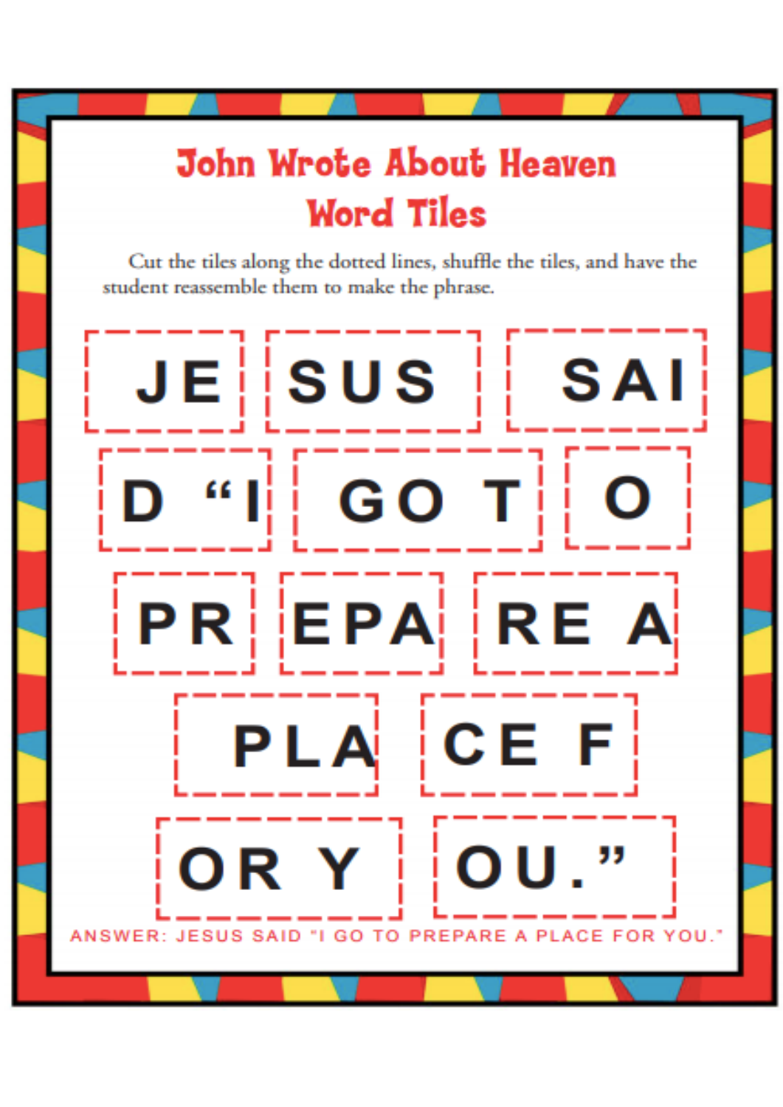# **John Wrote About Heaven Word Tiles**

Cut the tiles along the dotted lines, shuffle the tiles, and have the student reassemble them to make the phrase.

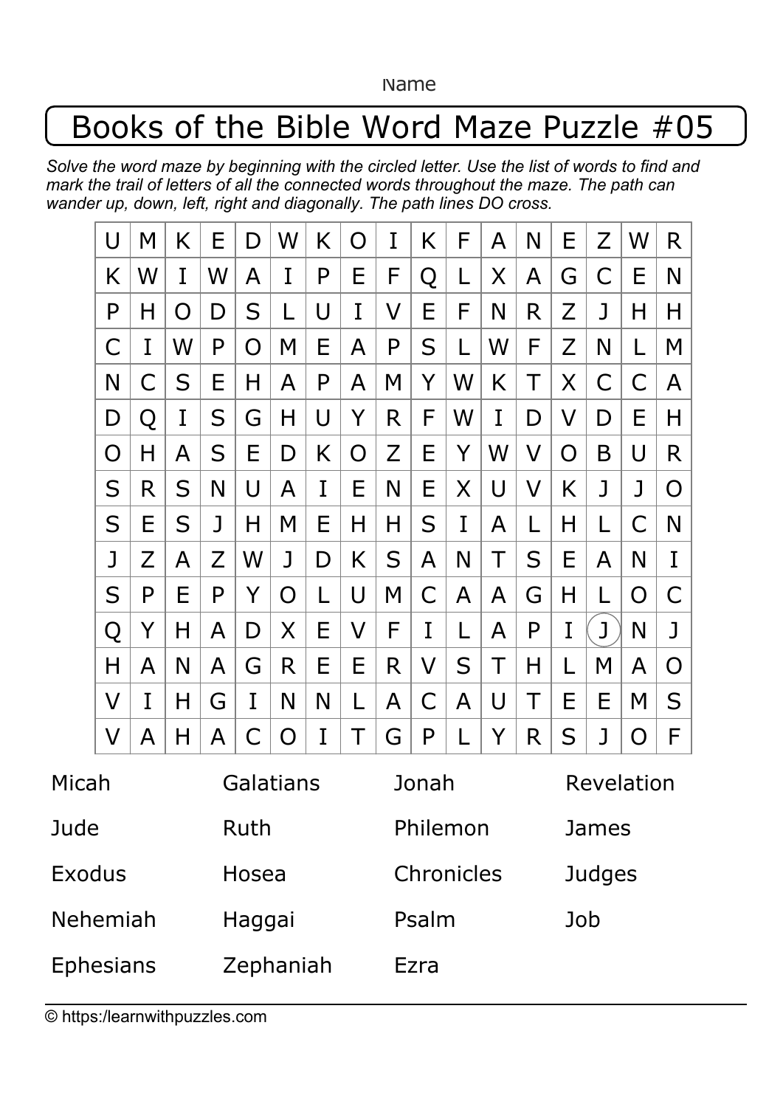Name

## Books of the Bible Word Maze Puzzle #05

*Solve the word maze by beginning with the circled letter. Use the list of words to find and mark the trail of letters of all the connected words throughout the maze. The path can wander up, down, left, right and diagonally. The path lines DO cross.*

|                  | U | M | K | Ε         | D | W | K | O       | I | Κ          | F | A | N       | Е            | Z | W | R |  |
|------------------|---|---|---|-----------|---|---|---|---------|---|------------|---|---|---------|--------------|---|---|---|--|
|                  | K | W | I | W         | A | I | P | Ε       | F | Q          | L | Χ | A       | G            | С | Е | N |  |
|                  | P | H | O | D         | S |   | U | I       | V | Ε          | F | N | R       | Z            | J | Η | H |  |
|                  | С | I | W | P         | O | M | Ε | A       | P | S          | L | W | F       | Ζ            | N | L | M |  |
|                  | N | С | S | Е         | Η | A | P | A       | M | Y          | W | Κ | Τ       | Χ            | С | С | A |  |
|                  | D | Q | I | S         | G | Η | U | Y       | R | F          | W | I | D       | V            | D | Е | Η |  |
|                  | O | H | A | S         | Ε | D | Κ | O       | Z | Ε          | Y | W | V       | O            | Β | U | R |  |
|                  | S | R | S | N         | U | A | I | E       | N | Е          | X | U | $\sf V$ | Κ            | J | J | O |  |
|                  | S | Е | S | J         | Η | M | Ε | Н       | Η | S          | I | A | L       | Η            | L | С | N |  |
|                  | J | Z | A | Z         | W | J | D | K       | S | A          | N | Τ | S       | Е            | A | N | I |  |
|                  | S | P | Е | P         | Y | O | L | U       | M | С          | A | A | G       | Η            |   | O | С |  |
|                  | Q | Y | Η | A         | D | X | Ε | $\sf V$ | F | I          | L | A | P       | I            | J | N | J |  |
|                  | Н | A | N | A         | G | R | Ε | Ε       | R | V          | S | Τ | Η       |              | Μ | A | O |  |
|                  | V | I | H | G         | I | N | N | L       | A | С          | A | U | Т       | Ε            | Е | M | S |  |
|                  | V | A | Η | A         | C | O | I | Τ       | G | P          |   | Y | R       | S            | J | O | F |  |
| Micah            |   |   |   | Galatians |   |   |   |         |   | Jonah      |   |   |         | Revelation   |   |   |   |  |
| Jude             |   |   |   | Ruth      |   |   |   |         |   | Philemon   |   |   |         | <b>James</b> |   |   |   |  |
| Exodus           |   |   |   | Hosea     |   |   |   |         |   | Chronicles |   |   |         | Judges       |   |   |   |  |
| Nehemiah         |   |   |   | Haggai    |   |   |   |         |   | Psalm      |   |   |         | Job          |   |   |   |  |
| <b>Ephesians</b> |   |   |   | Zephaniah |   |   |   |         |   | Ezra       |   |   |         |              |   |   |   |  |

© https:/learnwithpuzzles.com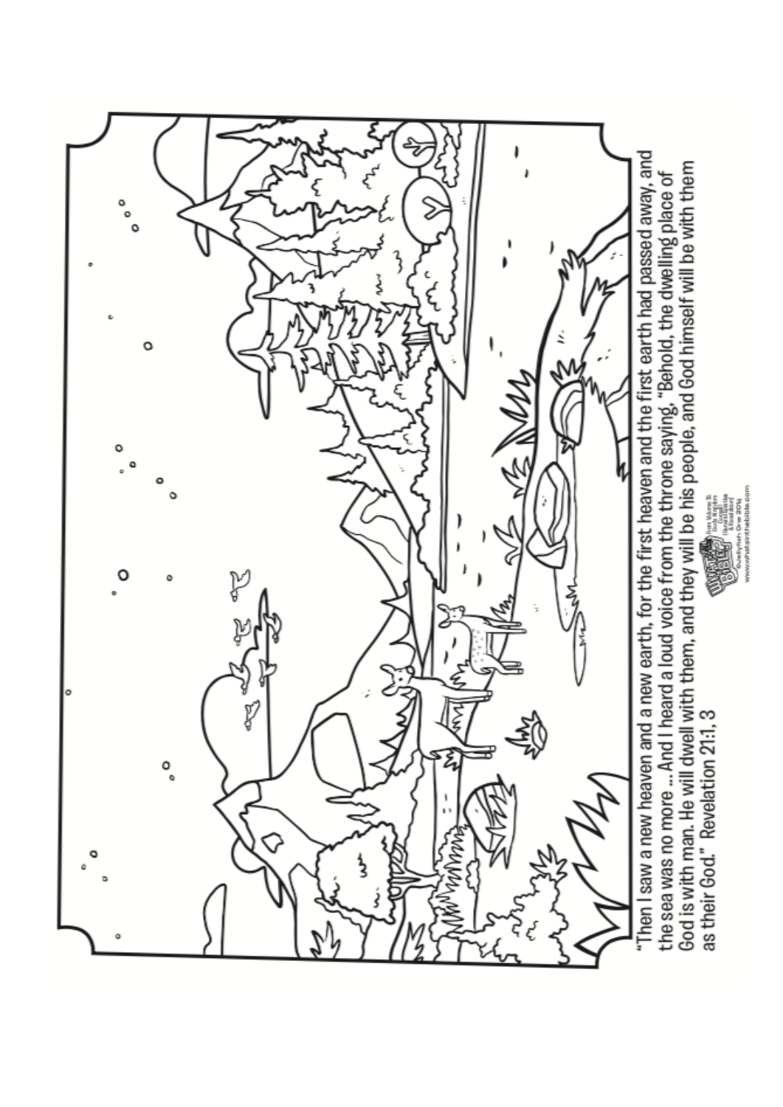

God is with man. He will dwell with them, and they will be his people, and God himself will be with them the sea was no more ... And I heard a loud voice from the throne saying, "Behold, the dwelling place of as their God." Revelation 21:1, 3